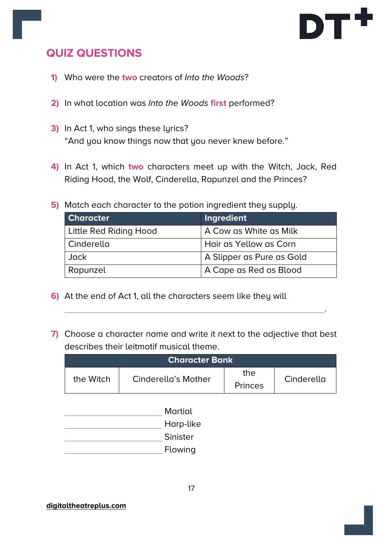## DT<sup>4</sup>

.

## **QUIZ QUESTIONS**

- **1)** Who were the **two** creators of *Into the Woods*?
- **2)** In what location was *Into the Woods* **first** performed?
- **3)** In Act 1, who sings these lyrics? "And you know things now that you never knew before."
- **4)** In Act 1, which **two** characters meet up with the Witch, Jack, Red Riding Hood, the Wolf, Cinderella, Rapunzel and the Princes?
- **5)** Match each character to the potion ingredient they supply.

| <b>Character</b>       | Ingredient                |
|------------------------|---------------------------|
| Little Red Riding Hood | A Cow as White as Milk    |
| Cinderella             | Hair as Yellow as Corn    |
| Jack                   | A Slipper as Pure as Gold |
| Rapunzel               | A Cape as Red as Blood    |

- **6)** At the end of Act 1, all the characters seem like they will
- **7)** Choose a character name and write it next to the adjective that best describes their leitmotif musical theme.

| <b>Character Bank</b> |                     |                       |            |  |
|-----------------------|---------------------|-----------------------|------------|--|
| the Witch             | Cinderella's Mother | the<br><b>Princes</b> | Cinderella |  |

**Martial** Harp-like Sinister Flowing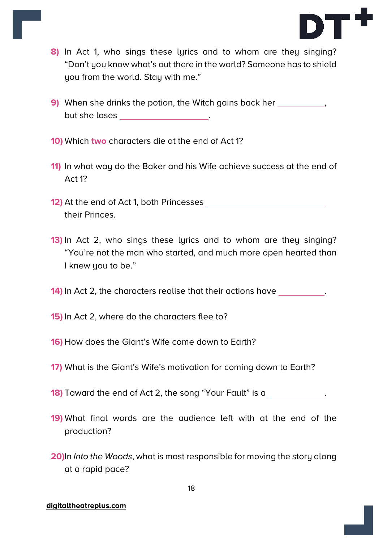

- **8)** In Act 1, who sings these lyrics and to whom are they singing? "Don't you know what's out there in the world? Someone has to shield you from the world. Stay with me."
- **9)** When she drinks the potion, the Witch gains back her , but she loses .
- **10)** Which **two** characters die at the end of Act 1?
- **11)** In what way do the Baker and his Wife achieve success at the end of Act 1?
- **12)** At the end of Act 1, both Princesses their Princes.
- **13)** In Act 2, who sings these lyrics and to whom are they singing? "You're not the man who started, and much more open hearted than I knew you to be."
- **14)** In Act 2, the characters realise that their actions have
- **15)** In Act 2, where do the characters flee to?
- **16)** How does the Giant's Wife come down to Earth?
- **17)** What is the Giant's Wife's motivation for coming down to Earth?
- **18)** Toward the end of Act 2, the song "Your Fault" is a
- **19)** What final words are the audience left with at the end of the production?
- **20)**In *Into the Woods*, what is most responsible for moving the story along at a rapid pace?